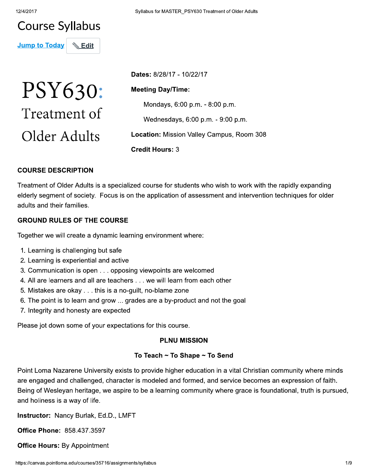# **Course Syllabus**

**Jump to Today Edit** 

PSY630: Treatment of Older Adults

Dates: 8/28/17 - 10/22/17 **Meeting Day/Time:** Mondays, 6:00 p.m. - 8:00 p.m. Wednesdays, 6:00 p.m. - 9:00 p.m. Location: Mission Valley Campus, Room 308 **Credit Hours: 3** 

# **COURSE DESCRIPTION**

Treatment of Older Adults is a specialized course for students who wish to work with the rapidly expanding elderly segment of society. Focus is on the application of assessment and intervention techniques for older adults and their families.

# **GROUND RULES OF THE COURSE**

Together we will create a dynamic learning environment where:

- 1. Learning is challenging but safe
- 2. Learning is experiential and active
- 3. Communication is open . . . opposing viewpoints are welcomed
- 4. All are learners and all are teachers . . . we will learn from each other
- 5. Mistakes are okay . . . this is a no-guilt, no-blame zone
- 6. The point is to learn and grow ... grades are a by-product and not the goal
- 7. Integrity and honesty are expected

Please jot down some of your expectations for this course.

#### **PLNU MISSION**

#### To Teach ~ To Shape ~ To Send

Point Loma Nazarene University exists to provide higher education in a vital Christian community where minds are engaged and challenged, character is modeled and formed, and service becomes an expression of faith. Being of Wesleyan heritage, we aspire to be a learning community where grace is foundational, truth is pursued, and holiness is a way of life.

Instructor: Nancy Burlak, Ed.D., LMFT

**Office Phone: 858.437.3597** 

**Office Hours: By Appointment**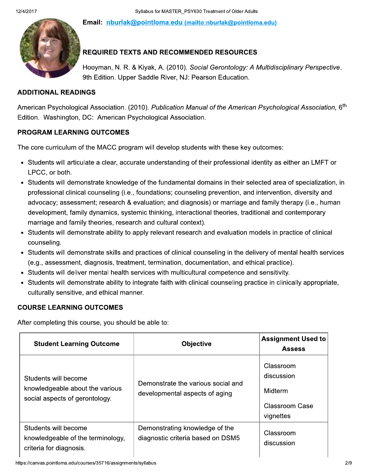Email: nburlak@pointloma.edu (mailto:nburlak@pointloma.edu)



# **REQUIRED TEXTS AND RECOMMENDED RESOURCES**

Hooyman, N. R. & Kiyak, A. (2010). Social Gerontology: A Multidisciplinary Perspective. 9th Edition. Upper Saddle River, NJ: Pearson Education.

### **ADDITIONAL READINGS**

American Psychological Association. (2010). Publication Manual of the American Psychological Association, 6<sup>th</sup> Edition. Washington, DC: American Psychological Association.

# **PROGRAM LEARNING OUTCOMES**

The core curriculum of the MACC program will develop students with these key outcomes:

- Students will articulate a clear, accurate understanding of their professional identity as either an LMFT or LPCC, or both.
- Students will demonstrate knowledge of the fundamental domains in their selected area of specialization, in professional clinical counseling (i.e., foundations; counseling prevention, and intervention, diversity and advocacy; assessment; research & evaluation; and diagnosis) or marriage and family therapy (i.e., human development, family dynamics, systemic thinking, interactional theories, traditional and contemporary marriage and family theories, research and cultural context).
- Students will demonstrate ability to apply relevant research and evaluation models in practice of clinical counseling.
- Students will demonstrate skills and practices of clinical counseling in the delivery of mental health services (e.g., assessment, diagnosis, treatment, termination, documentation, and ethical practice).
- Students will deliver mental health services with multicultural competence and sensitivity.
- Students will demonstrate ability to integrate faith with clinical counseling practice in clinically appropriate, culturally sensitive, and ethical manner.

# **COURSE LEARNING OUTCOMES**

After completing this course, you should be able to:

| <b>Student Learning Outcome</b>                                                           | <b>Objective</b>                                                     | <b>Assignment Used to</b><br><b>Assess</b>                        |
|-------------------------------------------------------------------------------------------|----------------------------------------------------------------------|-------------------------------------------------------------------|
| Students will become<br>knowledgeable about the various<br>social aspects of gerontology. | Demonstrate the various social and<br>developmental aspects of aging | Classroom<br>discussion<br>Midterm<br>Classroom Case<br>vignettes |
| Students will become<br>knowledgeable of the terminology,<br>criteria for diagnosis.      | Demonstrating knowledge of the<br>diagnostic criteria based on DSM5  | Classroom<br>discussion                                           |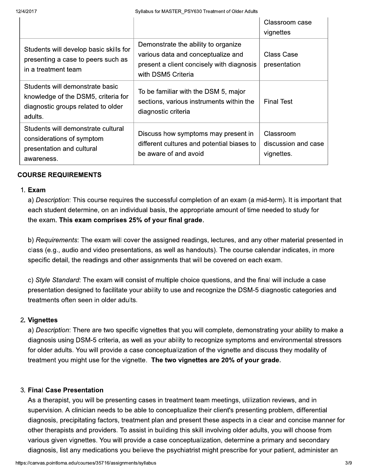|                                                                                                                         |                                                                                                                                              | Classroom case<br>vignettes                    |
|-------------------------------------------------------------------------------------------------------------------------|----------------------------------------------------------------------------------------------------------------------------------------------|------------------------------------------------|
| Students will develop basic skills for<br>presenting a case to peers such as<br>in a treatment team                     | Demonstrate the ability to organize<br>various data and conceptualize and<br>present a client concisely with diagnosis<br>with DSM5 Criteria | <b>Class Case</b><br>presentation              |
| Students will demonstrate basic<br>knowledge of the DSM5, criteria for<br>diagnostic groups related to older<br>adults. | To be familiar with the DSM 5, major<br>sections, various instruments within the<br>diagnostic criteria                                      | <b>Final Test</b>                              |
| Students will demonstrate cultural<br>considerations of symptom<br>presentation and cultural<br>awareness.              | Discuss how symptoms may present in<br>different cultures and potential biases to<br>be aware of and avoid                                   | Classroom<br>discussion and case<br>vignettes. |

# **COURSE REQUIREMENTS**

#### 1. Exam

a) Description: This course requires the successful completion of an exam (a mid-term). It is important that each student determine, on an individual basis, the appropriate amount of time needed to study for the exam. This exam comprises 25% of your final grade.

b) Requirements: The exam will cover the assigned readings, lectures, and any other material presented in class (e.g., audio and video presentations, as well as handouts). The course calendar indicates, in more specific detail, the readings and other assignments that will be covered on each exam.

c) Style Standard: The exam will consist of multiple choice questions, and the final will include a case presentation designed to facilitate your ability to use and recognize the DSM-5 diagnostic categories and treatments often seen in older adults.

#### 2. Vignettes

a) Description: There are two specific vignettes that you will complete, demonstrating your ability to make a diagnosis using DSM-5 criteria, as well as your ability to recognize symptoms and environmental stressors for older adults. You will provide a case conceptualization of the vignette and discuss they modality of treatment you might use for the vignette. The two vignettes are 20% of your grade.

#### 3. Final Case Presentation

As a therapist, you will be presenting cases in treatment team meetings, utilization reviews, and in supervision. A clinician needs to be able to conceptualize their client's presenting problem, differential diagnosis, precipitating factors, treatment plan and present these aspects in a clear and concise manner for other therapists and providers. To assist in building this skill involving older adults, you will choose from various given vignettes. You will provide a case conceptualization, determine a primary and secondary diagnosis, list any medications you believe the psychiatrist might prescribe for your patient, administer an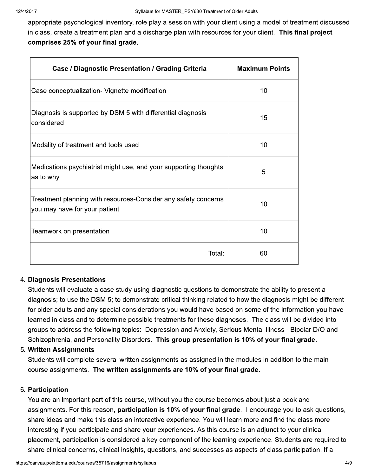appropriate psychological inventory, role play a session with your client using a model of treatment discussed in class, create a treatment plan and a discharge plan with resources for your client. This final project comprises 25% of your final grade.

| Case / Diagnostic Presentation / Grading Criteria                                               | <b>Maximum Points</b> |
|-------------------------------------------------------------------------------------------------|-----------------------|
| Case conceptualization- Vignette modification                                                   | 10                    |
| Diagnosis is supported by DSM 5 with differential diagnosis<br>considered                       | 15                    |
| Modality of treatment and tools used                                                            | 10                    |
| Medications psychiatrist might use, and your supporting thoughts<br>as to why                   | 5                     |
| Treatment planning with resources-Consider any safety concerns<br>you may have for your patient | 10                    |
| Teamwork on presentation                                                                        | 10                    |
| Total:                                                                                          | 60                    |

# 4. Diagnosis Presentations

Students will evaluate a case study using diagnostic questions to demonstrate the ability to present a diagnosis; to use the DSM 5; to demonstrate critical thinking related to how the diagnosis might be different for older adults and any special considerations you would have based on some of the information you have learned in class and to determine possible treatments for these diagnoses. The class will be divided into groups to address the following topics: Depression and Anxiety, Serious Mental Illness - Bipolar D/O and Schizophrenia, and Personality Disorders. This group presentation is 10% of your final grade.

# 5. Written Assignments

Students will complete several written assignments as assigned in the modules in addition to the main course assignments. The written assignments are 10% of your final grade.

#### 6. Participation

You are an important part of this course, without you the course becomes about just a book and assignments. For this reason, **participation is 10% of your final grade**. I encourage you to ask questions, share ideas and make this class an interactive experience. You will learn more and find the class more interesting if you participate and share your experiences. As this course is an adjunct to your clinical placement, participation is considered a key component of the learning experience. Students are required to share clinical concerns, clinical insights, questions, and successes as aspects of class participation. If a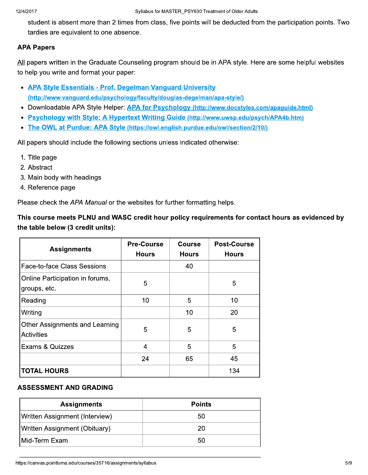student is absent more than 2 times from class, five points will be deducted from the participation points. Two tardies are equivalent to one absence.

#### **APA Papers**

All papers written in the Graduate Counseling program should be in APA style. Here are some helpful websites to help you write and format your paper:

- APA Style Essentials Prof. Degelman Vanguard University (http://www.vanguard.edu/psychology/faculty/douglas-degelman/apa-style/)
- Downloadable APA Style Helper: APA for Psychology (http://www.docstyles.com/apaguide.html)
- Psychology with Style: A Hypertext Writing Guide (http://www.uwsp.edu/psych/APA4b.htm)
- The OWL at Purdue: APA Style (https://owl.english.purdue.edu/owl/section/2/10/)  $\bullet$

All papers should include the following sections unless indicated otherwise:

- 1. Title page
- 2. Abstract
- 3. Main body with headings
- 4. Reference page

Please check the APA Manual or the websites for further formatting helps.

This course meets PLNU and WASC credit hour policy requirements for contact hours as evidenced by the table below (3 credit units):

| <b>Assignments</b>                                  | <b>Pre-Course</b><br><b>Hours</b> | <b>Course</b><br><b>Hours</b> | <b>Post-Course</b><br><b>Hours</b> |
|-----------------------------------------------------|-----------------------------------|-------------------------------|------------------------------------|
| Face-to-face Class Sessions                         |                                   | 40                            |                                    |
| Online Participation in forums,<br>groups, etc.     | 5                                 |                               | 5                                  |
| Reading                                             | 10                                | 5                             | 10                                 |
| Writing                                             |                                   | 10                            | 20                                 |
| Other Assignments and Learning<br><b>Activities</b> | 5                                 | 5                             | 5                                  |
| <b>Exams &amp; Quizzes</b>                          | 4                                 | 5                             | 5                                  |
|                                                     | 24                                | 65                            | 45                                 |
| <b>TOTAL HOURS</b>                                  |                                   |                               | 134                                |

# **ASSESSMENT AND GRADING**

| <b>Assignments</b>             | <b>Points</b> |
|--------------------------------|---------------|
| Written Assignment (Interview) | 50            |
| Written Assignment (Obituary)  | 20            |
| Mid-Term Exam                  | 50            |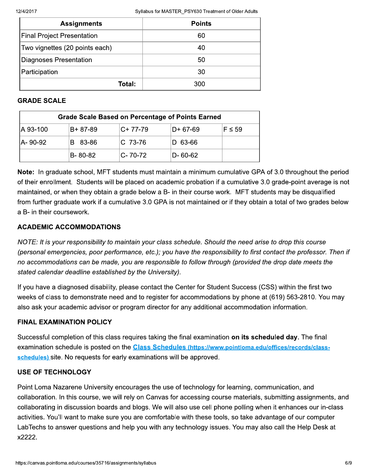017 Syllab bus for MASTER\_PSY630 Treatment of Older Adults

| <b>Assignments</b>             | <b>Points</b> |
|--------------------------------|---------------|
| Final Project Presentation     | 60            |
| Two vignettes (20 points each) | 40            |
| Diagnoses Presentation         | 50            |
| Participation                  | 30            |
| Total:                         | 300           |

# **GRADE SCALE**

| <b>Grade Scale Based on Percentage of Points Earned</b> |           |           |               |             |
|---------------------------------------------------------|-----------|-----------|---------------|-------------|
| A 93-100                                                | IB+ 87-89 | C+ 77-79  | ID+ 67-69     | $F \leq 59$ |
| A- 90-92                                                | B 83-86   | C 73-76   | D 63-66       |             |
|                                                         | IB-80-82  | IC- 70-72 | $D - 60 - 62$ |             |

Note: Th graduate school, MFT students must maintain a minimum cumulati  $\mathsf{F} \leq 59$ <br>
m cumulative GPA of 3.0 throughout the period<br>
in if a cumulative 3.0 grade-point average is not<br>
be work. MFT students may be disqualified<br>
ed or if they obtain a total of two grades below Chate Scale Based on Te<br>
A 93-100 B+ 87-89 C+ 77<br>
A- 90-92 B 83-86 C 73<br>
B- 80-82 C- 70<br>
Note: In graduate school, MFT students<br>
of their enrollment. Students will be plac<br>
maintained, or when they obtain a grade<br>
from fur  $\rm c$ ed on academic probation if a cumulative 3.0 grade-point average is not  $\overline{P}$   $\leq$  59<br>
Here  $\overline{P}$   $\leq$  59<br>
imum cumulative GPA of 3.0 throughout the pation if a cumulative 3.0 grade-point average<br>
ourse work. MFT students may be disqualifie<br>
intained or if they obtain a total of two g maintained, or when they obtain a grade below a B- in their course work. TNFT students may be disqualified  $\,$  $D + 67-69$   $F \le 59$ <br>  $D \t63-66$ <br>  $D - 60-62$ <br>
aintain a minimum cumulative GPA of 3.0 thro<br>
cademic probation if a cumulative 3.0 grade-po<br>
B- in their course work. MFT students may b<br>
PA is not maintained or if they obtai from further graduate work if a cumulative 3.0 GPA is not maintained or if they obtain a total of two grades below 83-86 C 73-76 D 63-66<br>
80-82 C- 70-72 D- 60-62<br>
chool, MFT students must maintain a minimun<br>
students will be placed on academic probation<br>
they obtain a grade below a B- in their course<br>
work if a cumulative 3.0 GPA is no a B- in their coursework. B-80-82 C-70-72<br> **lote:** In graduate school, MFT students must<br>
of their enrollment. Students will be placed on<br>
naintained, or when they obtain a grade below<br>
com further graduate work if a cumulative 3.0<br>
B- in their cou

# ACADEMIC ACCOMMODATIONS

NOTE: It is your responsibility to maintain your class schedule. Should the need arise to drop this course (personal emergencies, poor performance, etc.); you have the responsibility to first contact the professor. Then if no accommodations can be made, you are responsible to follow through (provided the drop date meets the stated calendar deadline established by the University). ed arise to drop this course<br>
first contact the professor. Then if<br>
ided the drop date meets the<br>
ess (CSS) within the first two<br>
one at (619) 563-2810. You may<br>
iodation information.<br>
Solidar Solidar Solidar Solidar Solid *v* to first contact the professor. Then if<br>covided the drop date meets the<br>invided the drop date meets the<br>incress (CSS) within the first two<br>phone at (619) 563-2810. You may<br>mmodation information.<br>its scheduled day. The

If you have a diagnosed disability, please contact the Center for Student Success (CSS) within the first two  $\,$ weeks of class to demonstrate need and to register for accommodations by phone at (619) 563-2810. You may also ask your academic advisor or program director for any additional accommodation informati dent Success (CSS) within the first two<br>ions by phone at (619) 563-2810. You may<br>al accommodation information.<br>tion **on its scheduled day**. The final<br>w.pointloma.edu/offices/records/class-<br>.<br>for learning, communication, an

# FINAL EXAMINATION POLICY

Successful completion of this class requires taking the final examination **on its scheduled day**. The final examination schedule is posted on the <mark>Class Schedules (https://www.pointloma.edu/offices/records/class-</mark> riy examinations will be ap

# USE OF TECHNOLOGY

activities. Tou if want to m<br>LabTechs to answer ques<br>x2222.<br>https://canvas.pointloma.edu/courses activities. Tou if want to make surf<br>LabTechs to answer questions are<br>(2222.<br>tps://canvas.pointloma.edu/courses/35716/as weeks of class to demonstrate need a<br>also ask your academic advisor or pro<br>FINAL EXAMINATION POLICY<br>Successful completion of this class re<br>examination schedule is posted on th<br>schedules) site. No requests for early<br>USE OF explore the accommodations by phone at (619)<br>
irector for any additional accommodation information<br>
aking the final examination **on its scheduled**<br> **Schedules (https://www.pointloma.edu/office-**<br>
ations will be approved.<br> Point Loma Nazarene University encourages the use of technology for learning, communication, and collaboration. In this course, we will rely on Canvas for accessing course materials, submitting assignments, and Successful completion of this class requires tak<br>examination schedule is posted on the Class S<br>schedules) site. No requests for early examinati<br>USE OF TECHNOLOGY<br>Point Loma Nazarene University encourages th<br>collaboration. collaborating in discussion boards and blogs. We will also use cell phone polling when it enhances our in-class is posted on the **Class Schedules (https://wr**<br>quests for early examinations will be approved<br>**GY**<br>University encourages the use of technology<br>ourse, we will rely on Canvas for accessing c<br>sion boards and blogs. We will al activities. You'll want to make sure you are comfortable with these tools, so take advantage of our computer i schedules) site. No requests for<br>USE OF TECHNOLOGY<br>Point Loma Nazarene Universit<br>collaboration. In this course, we<br>collaborating in discussion boar<br>activities. You'll want to make s<br>LabTechs to answer questions<br>x2222. Lab lechs to answer questions and help you with any technology issues. You may also call the Help Desk at use of technology for learning, communicationas for accessing course materials, submitting<br>will also use cell phone polling when it enhar<br>ortable with these tools, so take advantage of<br>any technology issues. You may also c XZZZZ. Point Loma Nazarene Univer<br>
collaboration. In this course,<br>
collaborating in discussion be<br>
activities. You'll want to make<br>
LabTechs to answer question<br>
x2222.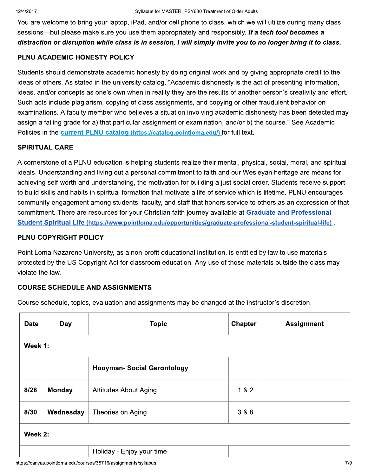You are welcome to bring your laptop, IPad, and/or cell phone to class, which we will utilize during many class sessions—but piease make sure you use them appropriately an distraction or disruption while class is in session, I will simply invite you to no longer bring it to class.

# PLNU ACADEMIC HONESTY POLICY

R\_PSY630 Treatment of Older Adults<br>
I phone to class, which we will utilize during many oriately and responsibly. **If a tech tool becomes a**<br> **I will simply invite you to no longer bring it to c.**<br>
ing original work and by Students should demonstrate academic honesty by doing original work and by giving appropriate credit to the  $\,$ ideas of others. As stated in the university catalog, "Academic dishonesty is the act of presenting information, You are welcome to bring your laptop<br>sessions—but please make sure you<br>distraction or disruption while clas<br>PLNU ACADEMIC HONESTY POLIC<br>Students should demonstrate academ<br>ideas of others. As stated in the unive<br>ideas, and/ ideas, and/or concepts as one's own when in reality they are the results of another person's creativity an **ool becomes a**<br>**ger bring it to class.**<br>propriate credit to the<br>esenting information,<br>n's creativity and effort.<br>lent behavior on<br>has been detected may<br>se." See Academic Such acts include plagiarism, copying of class assignments, and copying or other fraudulent behavior on  $\,$ examinations. A faculty member who believes a situation involving academic dishonesty has been detected may l **PLNU ACADEMIC HONESTY POL**<br>Students should demonstrate acade<br>ideas of others. As stated in the univ<br>ideas, and/or concepts as one's owr<br>Such acts include plagiarism, copyir<br>examinations. A faculty member whe<br>assign a fail assign a falling grade for a) that particular assignment or examination, and/or b) the course." See Academic  $\,$ book and by giving appropriate credit to the<br>
nesty is the act of presenting information,<br>
ults of another person's creativity and effort.<br>
bying or other fraudulent behavior on<br>
cademic dishonesty has been detected may<br>
n Students should demonstrate academic honesty by doing original work and by giving appropriate credideas of others. As stated in the university catalog, "Academic dishonesty is the act of presenting informulaes, and/or conc

# **SPIRITUAL CARE**

A cornerstone of a PLNU equcation is neiping students realize their mental, physical, social, moral, and spiritual ideals. Understanding and living out a personal commitment to faith and our vvesleyan heritage are means for l examinations. A faculty mem<br>assign a failing grade for a) t<br>Policies in the **current PLNL**<br>**SPIRITUAL CARE**<br>A cornerstone of a PLNU ed<br>ideals. Understanding and liv<br>achieving self-worth and und<br>to build skills and habits i achieving seif-worth and understanding, the motivation for building a just social  $\,$ nination, and/or b) the course." See Academic<br> **a.edu/**) for full text.<br>
their mental, physical, social, moral, and spiritual<br>
of faith and our Wesleyan heritage are means for<br>
ding a just social order. Students receive su to bulla skills and nabits in spiritual formation that motivate a life of service which is lifetime. PLNU encourages ma.edu/) for full text.<br>
Evention the social, moral, and spiritual<br>
to faith and our Wesleyan heritage are means for<br>
uilding a just social order. Students receive support<br>
life of service which is lifetime. PLNU encourage community engagement among students, faculty, and staff that honors service to others as an expression of that A cornerstone of a PLNU education<br>ideals. Understanding and living ou<br>achieving self-worth and understan<br>to build skills and habits in spiritual<br>community engagement among stu<br>commitment. There are resources if<br>**Student Sp** re resources for your Christian faith journey available at <mark>Graduate and Professional</mark> A cornerstone of a PLNU education is helping students realize their mental, physical, social, moral, and spiritual ideals. Understanding and living out a personal commitment to faith and our Wesleyan heritage are means for lents, faculty, and staff that honors service to the proof of the proof of the proof of the proof of the proof of the profession of the proof of the proof of the proof of the proof of the proof of the proof of the proof of

# PLNU COPYRIGHT POLICY

# **COURSE SCHEDULE AND ASSIGNMENTS**

|             | violate the law. | Point Loma Nazarene University, as a non-profit educational institution, is entitled by law to use materials<br>protected by the US Copyright Act for classroom education. Any use of those materials outside the class may |         |                   |
|-------------|------------------|-----------------------------------------------------------------------------------------------------------------------------------------------------------------------------------------------------------------------------|---------|-------------------|
|             |                  | <b>COURSE SCHEDULE AND ASSIGNMENTS</b>                                                                                                                                                                                      |         |                   |
|             |                  | Course schedule, topics, evaluation and assignments may be changed at the instructor's discretion.                                                                                                                          |         |                   |
| <b>Date</b> | <b>Day</b>       | <b>Topic</b>                                                                                                                                                                                                                | Chapter | <b>Assignment</b> |
| Week 1:     |                  |                                                                                                                                                                                                                             |         |                   |
|             |                  | <b>Hooyman- Social Gerontology</b>                                                                                                                                                                                          |         |                   |
| 8/28        | <b>Monday</b>    | <b>Attitudes About Aging</b>                                                                                                                                                                                                | 182     |                   |
| 8/30        | Wednesday        | Theories on Aging                                                                                                                                                                                                           | 3 & 8   |                   |
| Week 2:     |                  |                                                                                                                                                                                                                             |         |                   |
|             |                  | Holiday - Enjoy your time                                                                                                                                                                                                   |         |                   |
|             |                  | https://canvas.pointloma.edu/courses/35716/assignments/syllabus                                                                                                                                                             |         |                   |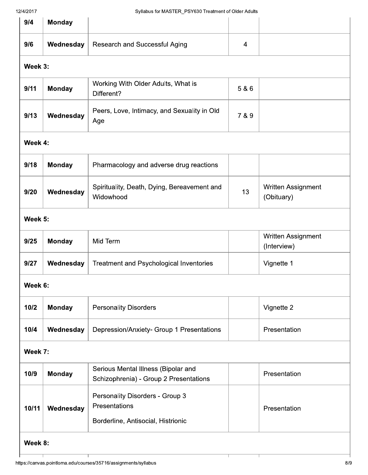#### 12/4/20

| <b>Monday</b><br>Wednesday<br><b>Monday</b><br>Wednesday<br><b>Monday</b> | Research and Successful Aging<br>Working With Older Adults, What is<br>Different?<br>Peers, Love, Intimacy, and Sexuality in Old<br>Age | $\overline{4}$<br>5 & 6<br>7 & 9 |                                         |
|---------------------------------------------------------------------------|-----------------------------------------------------------------------------------------------------------------------------------------|----------------------------------|-----------------------------------------|
|                                                                           |                                                                                                                                         |                                  |                                         |
|                                                                           |                                                                                                                                         |                                  |                                         |
|                                                                           |                                                                                                                                         |                                  |                                         |
|                                                                           |                                                                                                                                         |                                  |                                         |
|                                                                           |                                                                                                                                         |                                  |                                         |
|                                                                           |                                                                                                                                         |                                  |                                         |
|                                                                           | Pharmacology and adverse drug reactions                                                                                                 |                                  |                                         |
| Wednesday                                                                 | Spirituality, Death, Dying, Bereavement and<br>Widowhood                                                                                | 13                               | <b>Written Assignment</b><br>(Obituary) |
|                                                                           |                                                                                                                                         |                                  |                                         |
|                                                                           | Mid Term                                                                                                                                |                                  | Written Assignment<br>(Interview)       |
|                                                                           | Treatment and Psychological Inventories                                                                                                 |                                  | Vignette 1                              |
|                                                                           |                                                                                                                                         |                                  |                                         |
|                                                                           | <b>Personality Disorders</b>                                                                                                            |                                  | Vignette 2                              |
|                                                                           | Depression/Anxiety- Group 1 Presentations                                                                                               |                                  | Presentation                            |
|                                                                           |                                                                                                                                         |                                  |                                         |
|                                                                           | Serious Mental Illness (Bipolar and<br>Schizophrenia) - Group 2 Presentations                                                           |                                  | Presentation                            |
|                                                                           | <b>Personality Disorders - Group 3</b><br>Presentations                                                                                 |                                  | Presentation                            |
|                                                                           | Borderline, Antisocial, Histrionic                                                                                                      |                                  |                                         |
|                                                                           |                                                                                                                                         |                                  |                                         |
|                                                                           | <b>Monday</b><br>Wednesday<br><b>Monday</b><br>Wednesday<br><b>Monday</b><br>Wednesday                                                  |                                  |                                         |